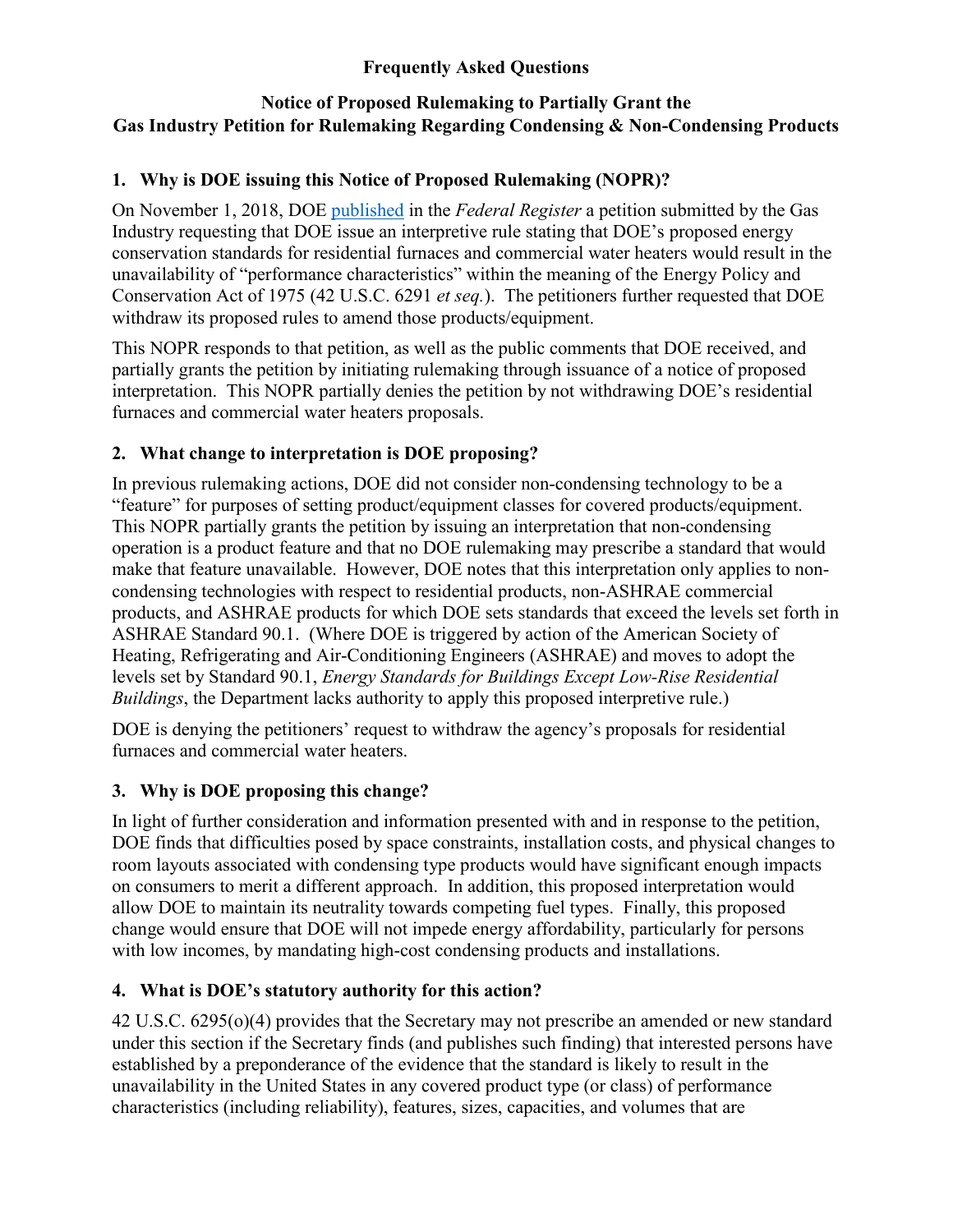#### **Frequently Asked Questions**

### **Notice of Proposed Rulemaking to Partially Grant the Gas Industry Petition for Rulemaking Regarding Condensing & Non-Condensing Products**

### **1. Why is DOE issuing this Notice of Proposed Rulemaking (NOPR)?**

On November 1, 2018, DOE [published](https://www.regulations.gov/document?D=EERE-2018-BT-STD-0018-0002) in the *Federal Register* a petition submitted by the Gas Industry requesting that DOE issue an interpretive rule stating that DOE's proposed energy conservation standards for residential furnaces and commercial water heaters would result in the unavailability of "performance characteristics" within the meaning of the Energy Policy and Conservation Act of 1975 (42 U.S.C. 6291 *et seq.*). The petitioners further requested that DOE withdraw its proposed rules to amend those products/equipment.

This NOPR responds to that petition, as well as the public comments that DOE received, and partially grants the petition by initiating rulemaking through issuance of a notice of proposed interpretation. This NOPR partially denies the petition by not withdrawing DOE's residential furnaces and commercial water heaters proposals.

# **2. What change to interpretation is DOE proposing?**

In previous rulemaking actions, DOE did not consider non-condensing technology to be a "feature" for purposes of setting product/equipment classes for covered products/equipment. This NOPR partially grants the petition by issuing an interpretation that non-condensing operation is a product feature and that no DOE rulemaking may prescribe a standard that would make that feature unavailable. However, DOE notes that this interpretation only applies to noncondensing technologies with respect to residential products, non-ASHRAE commercial products, and ASHRAE products for which DOE sets standards that exceed the levels set forth in ASHRAE Standard 90.1. (Where DOE is triggered by action of the American Society of Heating, Refrigerating and Air-Conditioning Engineers (ASHRAE) and moves to adopt the levels set by Standard 90.1, *Energy Standards for Buildings Except Low-Rise Residential Buildings*, the Department lacks authority to apply this proposed interpretive rule.)

DOE is denying the petitioners' request to withdraw the agency's proposals for residential furnaces and commercial water heaters.

#### **3. Why is DOE proposing this change?**

In light of further consideration and information presented with and in response to the petition, DOE finds that difficulties posed by space constraints, installation costs, and physical changes to room layouts associated with condensing type products would have significant enough impacts on consumers to merit a different approach. In addition, this proposed interpretation would allow DOE to maintain its neutrality towards competing fuel types. Finally, this proposed change would ensure that DOE will not impede energy affordability, particularly for persons with low incomes, by mandating high-cost condensing products and installations.

# **4. What is DOE's statutory authority for this action?**

42 U.S.C. 6295(o)(4) provides that the Secretary may not prescribe an amended or new standard under this section if the Secretary finds (and publishes such finding) that interested persons have established by a preponderance of the evidence that the standard is likely to result in the unavailability in the United States in any covered product type (or class) of performance characteristics (including reliability), features, sizes, capacities, and volumes that are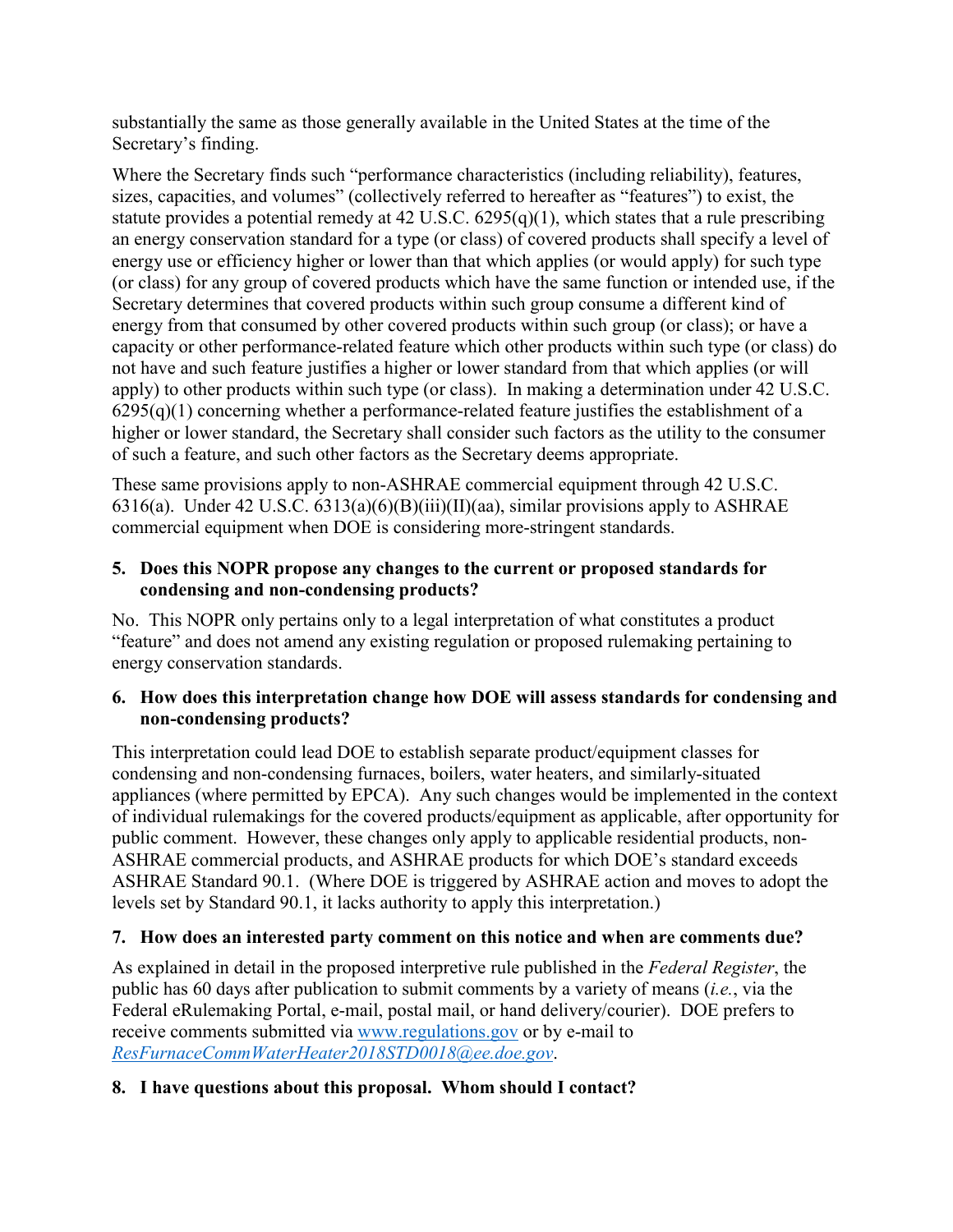substantially the same as those generally available in the United States at the time of the Secretary's finding.

Where the Secretary finds such "performance characteristics (including reliability), features, sizes, capacities, and volumes" (collectively referred to hereafter as "features") to exist, the statute provides a potential remedy at 42 U.S.C.  $6295(q)(1)$ , which states that a rule prescribing an energy conservation standard for a type (or class) of covered products shall specify a level of energy use or efficiency higher or lower than that which applies (or would apply) for such type (or class) for any group of covered products which have the same function or intended use, if the Secretary determines that covered products within such group consume a different kind of energy from that consumed by other covered products within such group (or class); or have a capacity or other performance-related feature which other products within such type (or class) do not have and such feature justifies a higher or lower standard from that which applies (or will apply) to other products within such type (or class). In making a determination under 42 U.S.C.  $6295(q)(1)$  concerning whether a performance-related feature justifies the establishment of a higher or lower standard, the Secretary shall consider such factors as the utility to the consumer of such a feature, and such other factors as the Secretary deems appropriate.

These same provisions apply to non-ASHRAE commercial equipment through 42 U.S.C. 6316(a). Under 42 U.S.C. 6313(a)(6)(B)(iii)(II)(aa), similar provisions apply to ASHRAE commercial equipment when DOE is considering more-stringent standards.

#### **5. Does this NOPR propose any changes to the current or proposed standards for condensing and non-condensing products?**

No. This NOPR only pertains only to a legal interpretation of what constitutes a product "feature" and does not amend any existing regulation or proposed rulemaking pertaining to energy conservation standards.

#### **6. How does this interpretation change how DOE will assess standards for condensing and non-condensing products?**

This interpretation could lead DOE to establish separate product/equipment classes for condensing and non-condensing furnaces, boilers, water heaters, and similarly-situated appliances (where permitted by EPCA). Any such changes would be implemented in the context of individual rulemakings for the covered products/equipment as applicable, after opportunity for public comment. However, these changes only apply to applicable residential products, non-ASHRAE commercial products, and ASHRAE products for which DOE's standard exceeds ASHRAE Standard 90.1. (Where DOE is triggered by ASHRAE action and moves to adopt the levels set by Standard 90.1, it lacks authority to apply this interpretation.)

# **7. How does an interested party comment on this notice and when are comments due?**

As explained in detail in the proposed interpretive rule published in the *Federal Register*, the public has 60 days after publication to submit comments by a variety of means (*i.e.*, via the Federal eRulemaking Portal, e-mail, postal mail, or hand delivery/courier). DOE prefers to receive comments submitted via [www.regulations.gov](http://www.regulations.gov/) or by e-mail to *[ResFurnaceCommWaterHeater2018STD0018@ee.doe.gov](mailto:ResFurnPet2018PET0017@ee.doe.gov)*.

# **8. I have questions about this proposal. Whom should I contact?**